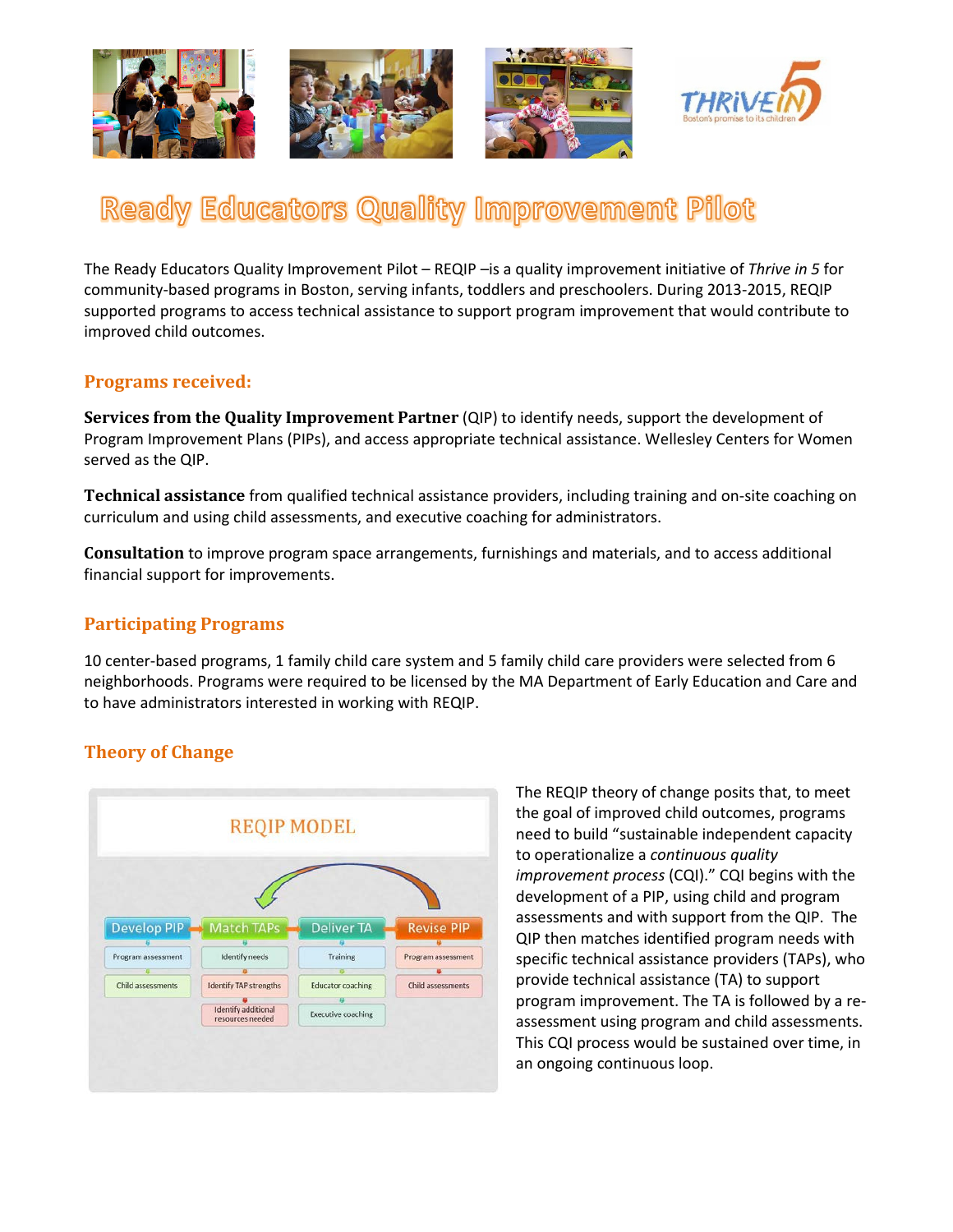

# Ready Educators Quality Improvement Pilot

The Ready Educators Quality Improvement Pilot – REQIP –is a quality improvement initiative of *Thrive in 5* for community-based programs in Boston, serving infants, toddlers and preschoolers. During 2013-2015, REQIP supported programs to access technical assistance to support program improvement that would contribute to improved child outcomes.

#### **Programs received:**

**Services from the Quality Improvement Partner** (QIP) to identify needs, support the development of Program Improvement Plans (PIPs), and access appropriate technical assistance. Wellesley Centers for Women served as the QIP.

**Technical assistance** from qualified technical assistance providers, including training and on-site coaching on curriculum and using child assessments, and executive coaching for administrators.

**Consultation** to improve program space arrangements, furnishings and materials, and to access additional financial support for improvements.

## **Participating Programs**

10 center-based programs, 1 family child care system and 5 family child care providers were selected from 6 neighborhoods. Programs were required to be licensed by the MA Department of Early Education and Care and to have administrators interested in working with REQIP.

# **Theory of Change**



The REQIP theory of change posits that, to meet the goal of improved child outcomes, programs need to build "sustainable independent capacity to operationalize a *continuous quality improvement process* (CQI)." CQI begins with the development of a PIP, using child and program assessments and with support from the QIP. The QIP then matches identified program needs with specific technical assistance providers (TAPs), who provide technical assistance (TA) to support program improvement. The TA is followed by a reassessment using program and child assessments. This CQI process would be sustained over time, in an ongoing continuous loop.